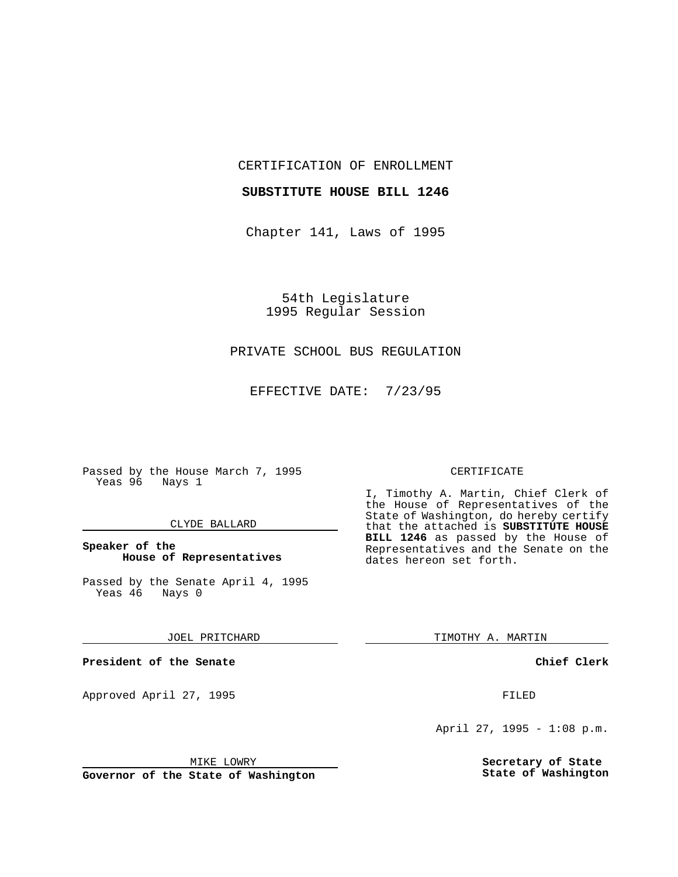CERTIFICATION OF ENROLLMENT

#### **SUBSTITUTE HOUSE BILL 1246**

Chapter 141, Laws of 1995

54th Legislature 1995 Regular Session

# PRIVATE SCHOOL BUS REGULATION

EFFECTIVE DATE: 7/23/95

Passed by the House March 7, 1995 Yeas 96 Nays 1

## CLYDE BALLARD

## **Speaker of the House of Representatives**

Passed by the Senate April 4, 1995<br>Yeas 46 Nays 0 Yeas 46

#### JOEL PRITCHARD

**President of the Senate**

Approved April 27, 1995 FILED

## MIKE LOWRY

**Governor of the State of Washington**

#### CERTIFICATE

I, Timothy A. Martin, Chief Clerk of the House of Representatives of the State of Washington, do hereby certify that the attached is **SUBSTITUTE HOUSE BILL 1246** as passed by the House of Representatives and the Senate on the dates hereon set forth.

TIMOTHY A. MARTIN

## **Chief Clerk**

April 27, 1995 - 1:08 p.m.

**Secretary of State State of Washington**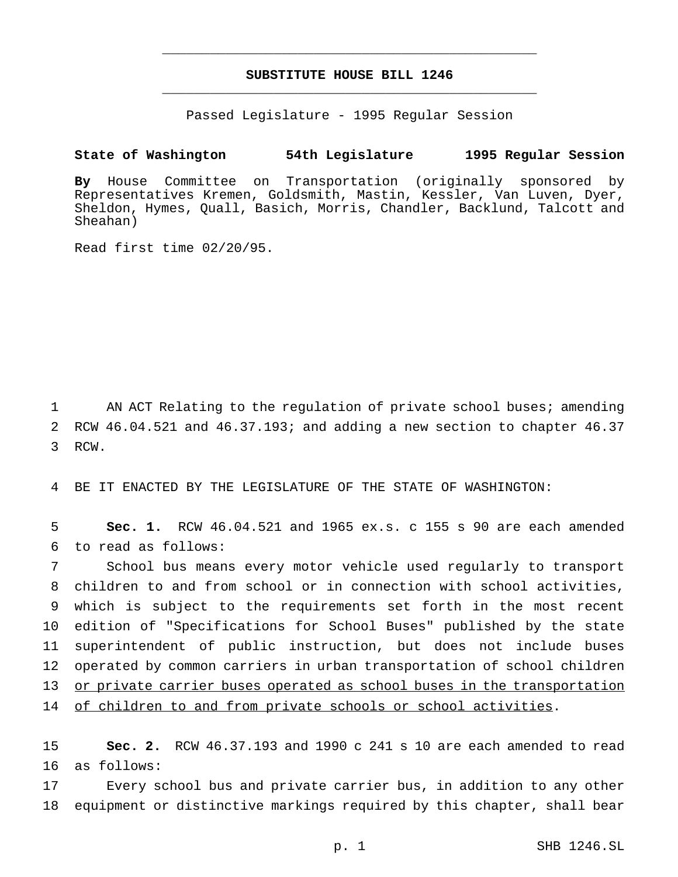# **SUBSTITUTE HOUSE BILL 1246** \_\_\_\_\_\_\_\_\_\_\_\_\_\_\_\_\_\_\_\_\_\_\_\_\_\_\_\_\_\_\_\_\_\_\_\_\_\_\_\_\_\_\_\_\_\_\_

\_\_\_\_\_\_\_\_\_\_\_\_\_\_\_\_\_\_\_\_\_\_\_\_\_\_\_\_\_\_\_\_\_\_\_\_\_\_\_\_\_\_\_\_\_\_\_

Passed Legislature - 1995 Regular Session

## **State of Washington 54th Legislature 1995 Regular Session**

**By** House Committee on Transportation (originally sponsored by Representatives Kremen, Goldsmith, Mastin, Kessler, Van Luven, Dyer, Sheldon, Hymes, Quall, Basich, Morris, Chandler, Backlund, Talcott and Sheahan)

Read first time 02/20/95.

1 AN ACT Relating to the regulation of private school buses; amending 2 RCW 46.04.521 and 46.37.193; and adding a new section to chapter 46.37 3 RCW.

4 BE IT ENACTED BY THE LEGISLATURE OF THE STATE OF WASHINGTON:

5 **Sec. 1.** RCW 46.04.521 and 1965 ex.s. c 155 s 90 are each amended 6 to read as follows:

 School bus means every motor vehicle used regularly to transport children to and from school or in connection with school activities, which is subject to the requirements set forth in the most recent edition of "Specifications for School Buses" published by the state superintendent of public instruction, but does not include buses operated by common carriers in urban transportation of school children or private carrier buses operated as school buses in the transportation 14 of children to and from private schools or school activities.

15 **Sec. 2.** RCW 46.37.193 and 1990 c 241 s 10 are each amended to read 16 as follows:

17 Every school bus and private carrier bus, in addition to any other 18 equipment or distinctive markings required by this chapter, shall bear